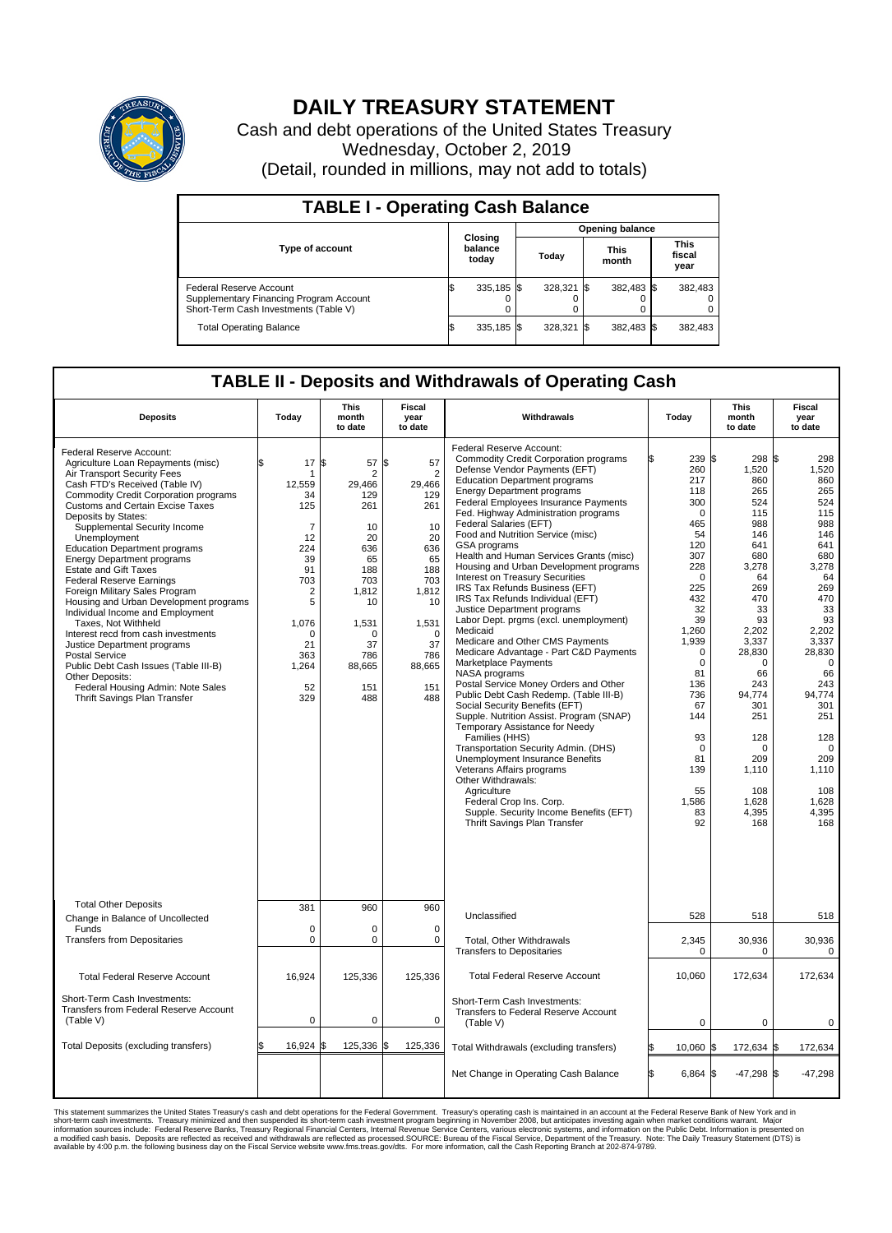

## **DAILY TREASURY STATEMENT**

Cash and debt operations of the United States Treasury Wednesday, October 2, 2019 (Detail, rounded in millions, may not add to totals)

| <b>TABLE I - Operating Cash Balance</b>                                                                     |     |                             |                        |            |  |                      |  |                               |  |  |  |
|-------------------------------------------------------------------------------------------------------------|-----|-----------------------------|------------------------|------------|--|----------------------|--|-------------------------------|--|--|--|
|                                                                                                             |     |                             | <b>Opening balance</b> |            |  |                      |  |                               |  |  |  |
| <b>Type of account</b>                                                                                      |     | Closing<br>balance<br>today |                        | Today      |  | <b>This</b><br>month |  | <b>This</b><br>fiscal<br>year |  |  |  |
| Federal Reserve Account<br>Supplementary Financing Program Account<br>Short-Term Cash Investments (Table V) |     | 335,185 \$                  |                        | 328.321 \$ |  | 382,483 \$           |  | 382,483                       |  |  |  |
| <b>Total Operating Balance</b>                                                                              | I\$ | 335,185 \$                  |                        | 328,321    |  | 382,483 \$           |  | 382,483                       |  |  |  |

## **TABLE II - Deposits and Withdrawals of Operating Cash**

| <b>Deposits</b>                                                                                                                                                                                                                                                                                                                                                                                                                                                                                                                                                                                                                                                                                                                                                                                                          | Today                                                                                                                                                    | This<br>month<br>to date                                                                                                                       | Fiscal<br>year<br>to date                                                                                                                                          | Withdrawals                                                                                                                                                                                                                                                                                                                                                                                                                                                                                                                                                                                                                                                                                                                                                                                                                                                                                                                                                                                                                                                                                                                                                                                                                           | Today                                                                                                                                                                                                                                                                      | <b>This</b><br>month<br>to date                                                                                                                                                                                                                                           | <b>Fiscal</b><br>year<br>to date                                                                                                                                                                                                                                    |
|--------------------------------------------------------------------------------------------------------------------------------------------------------------------------------------------------------------------------------------------------------------------------------------------------------------------------------------------------------------------------------------------------------------------------------------------------------------------------------------------------------------------------------------------------------------------------------------------------------------------------------------------------------------------------------------------------------------------------------------------------------------------------------------------------------------------------|----------------------------------------------------------------------------------------------------------------------------------------------------------|------------------------------------------------------------------------------------------------------------------------------------------------|--------------------------------------------------------------------------------------------------------------------------------------------------------------------|---------------------------------------------------------------------------------------------------------------------------------------------------------------------------------------------------------------------------------------------------------------------------------------------------------------------------------------------------------------------------------------------------------------------------------------------------------------------------------------------------------------------------------------------------------------------------------------------------------------------------------------------------------------------------------------------------------------------------------------------------------------------------------------------------------------------------------------------------------------------------------------------------------------------------------------------------------------------------------------------------------------------------------------------------------------------------------------------------------------------------------------------------------------------------------------------------------------------------------------|----------------------------------------------------------------------------------------------------------------------------------------------------------------------------------------------------------------------------------------------------------------------------|---------------------------------------------------------------------------------------------------------------------------------------------------------------------------------------------------------------------------------------------------------------------------|---------------------------------------------------------------------------------------------------------------------------------------------------------------------------------------------------------------------------------------------------------------------|
| Federal Reserve Account:<br>Agriculture Loan Repayments (misc)<br>Air Transport Security Fees<br>Cash FTD's Received (Table IV)<br><b>Commodity Credit Corporation programs</b><br><b>Customs and Certain Excise Taxes</b><br>Deposits by States:<br>Supplemental Security Income<br>Unemployment<br><b>Education Department programs</b><br><b>Energy Department programs</b><br><b>Estate and Gift Taxes</b><br><b>Federal Reserve Earnings</b><br>Foreign Military Sales Program<br>Housing and Urban Development programs<br>Individual Income and Employment<br>Taxes. Not Withheld<br>Interest recd from cash investments<br>Justice Department programs<br><b>Postal Service</b><br>Public Debt Cash Issues (Table III-B)<br>Other Deposits:<br>Federal Housing Admin: Note Sales<br>Thrift Savings Plan Transfer | 17<br>\$<br>1<br>12,559<br>34<br>125<br>$\overline{7}$<br>12<br>224<br>39<br>91<br>703<br>2<br>5<br>1,076<br>$\Omega$<br>21<br>363<br>1,264<br>52<br>329 | \$<br>57<br>2<br>29,466<br>129<br>261<br>10<br>20<br>636<br>65<br>188<br>703<br>1,812<br>10<br>1,531<br>O<br>37<br>786<br>88,665<br>151<br>488 | \$<br>57<br>$\overline{2}$<br>29,466<br>129<br>261<br>10<br>20<br>636<br>65<br>188<br>703<br>1,812<br>10<br>1,531<br>$\Omega$<br>37<br>786<br>88,665<br>151<br>488 | Federal Reserve Account:<br><b>Commodity Credit Corporation programs</b><br>Defense Vendor Payments (EFT)<br><b>Education Department programs</b><br><b>Energy Department programs</b><br>Federal Employees Insurance Payments<br>Fed. Highway Administration programs<br>Federal Salaries (EFT)<br>Food and Nutrition Service (misc)<br>GSA programs<br>Health and Human Services Grants (misc)<br>Housing and Urban Development programs<br>Interest on Treasury Securities<br>IRS Tax Refunds Business (EFT)<br>IRS Tax Refunds Individual (EFT)<br>Justice Department programs<br>Labor Dept. prgms (excl. unemployment)<br>Medicaid<br>Medicare and Other CMS Payments<br>Medicare Advantage - Part C&D Payments<br>Marketplace Payments<br>NASA programs<br>Postal Service Money Orders and Other<br>Public Debt Cash Redemp. (Table III-B)<br>Social Security Benefits (EFT)<br>Supple. Nutrition Assist. Program (SNAP)<br>Temporary Assistance for Needy<br>Families (HHS)<br>Transportation Security Admin. (DHS)<br>Unemployment Insurance Benefits<br>Veterans Affairs programs<br>Other Withdrawals:<br>Agriculture<br>Federal Crop Ins. Corp.<br>Supple. Security Income Benefits (EFT)<br>Thrift Savings Plan Transfer | 239 \$<br>260<br>217<br>118<br>300<br>$\mathbf 0$<br>465<br>54<br>120<br>307<br>228<br>$\mathbf 0$<br>225<br>432<br>32<br>39<br>1,260<br>1,939<br>$\mathbf 0$<br>$\mathbf 0$<br>81<br>136<br>736<br>67<br>144<br>93<br>$\mathbf 0$<br>81<br>139<br>55<br>1.586<br>83<br>92 | $298$ \\$<br>1,520<br>860<br>265<br>524<br>115<br>988<br>146<br>641<br>680<br>3,278<br>64<br>269<br>470<br>33<br>93<br>2,202<br>3,337<br>28,830<br>$\mathbf 0$<br>66<br>243<br>94,774<br>301<br>251<br>128<br>$\mathbf 0$<br>209<br>1,110<br>108<br>1,628<br>4,395<br>168 | 298<br>1,520<br>860<br>265<br>524<br>115<br>988<br>146<br>641<br>680<br>3,278<br>64<br>269<br>470<br>33<br>93<br>2,202<br>3,337<br>28,830<br>$\mathbf 0$<br>66<br>243<br>94,774<br>301<br>251<br>128<br>$\mathbf 0$<br>209<br>1,110<br>108<br>1,628<br>4,395<br>168 |
| <b>Total Other Deposits</b><br>Change in Balance of Uncollected                                                                                                                                                                                                                                                                                                                                                                                                                                                                                                                                                                                                                                                                                                                                                          | 381                                                                                                                                                      | 960                                                                                                                                            | 960                                                                                                                                                                | Unclassified                                                                                                                                                                                                                                                                                                                                                                                                                                                                                                                                                                                                                                                                                                                                                                                                                                                                                                                                                                                                                                                                                                                                                                                                                          | 528                                                                                                                                                                                                                                                                        | 518                                                                                                                                                                                                                                                                       | 518                                                                                                                                                                                                                                                                 |
| Funds<br><b>Transfers from Depositaries</b>                                                                                                                                                                                                                                                                                                                                                                                                                                                                                                                                                                                                                                                                                                                                                                              | $\mathbf 0$<br>$\mathbf 0$                                                                                                                               | 0<br>0                                                                                                                                         | $\mathbf 0$<br>$\mathbf 0$                                                                                                                                         | Total, Other Withdrawals                                                                                                                                                                                                                                                                                                                                                                                                                                                                                                                                                                                                                                                                                                                                                                                                                                                                                                                                                                                                                                                                                                                                                                                                              | 2,345                                                                                                                                                                                                                                                                      | 30,936                                                                                                                                                                                                                                                                    | 30,936                                                                                                                                                                                                                                                              |
|                                                                                                                                                                                                                                                                                                                                                                                                                                                                                                                                                                                                                                                                                                                                                                                                                          |                                                                                                                                                          |                                                                                                                                                |                                                                                                                                                                    | <b>Transfers to Depositaries</b>                                                                                                                                                                                                                                                                                                                                                                                                                                                                                                                                                                                                                                                                                                                                                                                                                                                                                                                                                                                                                                                                                                                                                                                                      | 0                                                                                                                                                                                                                                                                          | 0                                                                                                                                                                                                                                                                         | $\mathbf 0$                                                                                                                                                                                                                                                         |
| <b>Total Federal Reserve Account</b>                                                                                                                                                                                                                                                                                                                                                                                                                                                                                                                                                                                                                                                                                                                                                                                     | 16,924                                                                                                                                                   | 125,336                                                                                                                                        | 125,336                                                                                                                                                            | <b>Total Federal Reserve Account</b>                                                                                                                                                                                                                                                                                                                                                                                                                                                                                                                                                                                                                                                                                                                                                                                                                                                                                                                                                                                                                                                                                                                                                                                                  | 10,060                                                                                                                                                                                                                                                                     | 172,634                                                                                                                                                                                                                                                                   | 172,634                                                                                                                                                                                                                                                             |
| Short-Term Cash Investments:<br>Transfers from Federal Reserve Account<br>(Table V)                                                                                                                                                                                                                                                                                                                                                                                                                                                                                                                                                                                                                                                                                                                                      | $\mathbf 0$                                                                                                                                              | 0                                                                                                                                              | $\mathbf 0$                                                                                                                                                        | Short-Term Cash Investments:<br>Transfers to Federal Reserve Account<br>(Table V)                                                                                                                                                                                                                                                                                                                                                                                                                                                                                                                                                                                                                                                                                                                                                                                                                                                                                                                                                                                                                                                                                                                                                     | $\mathbf 0$                                                                                                                                                                                                                                                                | $\mathbf 0$                                                                                                                                                                                                                                                               | $\mathbf 0$                                                                                                                                                                                                                                                         |
| Total Deposits (excluding transfers)                                                                                                                                                                                                                                                                                                                                                                                                                                                                                                                                                                                                                                                                                                                                                                                     | 16,924<br>\$.                                                                                                                                            | l\$<br>125,336                                                                                                                                 | 125,336<br>\$                                                                                                                                                      | Total Withdrawals (excluding transfers)                                                                                                                                                                                                                                                                                                                                                                                                                                                                                                                                                                                                                                                                                                                                                                                                                                                                                                                                                                                                                                                                                                                                                                                               | 10,060 \$                                                                                                                                                                                                                                                                  | 172,634 \$                                                                                                                                                                                                                                                                | 172,634                                                                                                                                                                                                                                                             |
|                                                                                                                                                                                                                                                                                                                                                                                                                                                                                                                                                                                                                                                                                                                                                                                                                          |                                                                                                                                                          |                                                                                                                                                |                                                                                                                                                                    | Net Change in Operating Cash Balance                                                                                                                                                                                                                                                                                                                                                                                                                                                                                                                                                                                                                                                                                                                                                                                                                                                                                                                                                                                                                                                                                                                                                                                                  | $6,864$ \$<br>l\$                                                                                                                                                                                                                                                          | $-47,298$ \$                                                                                                                                                                                                                                                              | $-47,298$                                                                                                                                                                                                                                                           |

This statement summarizes the United States Treasury's cash and debt operations for the Federal Government. Treasury soperating in November 2008, but anticiarde in a cocount at the Federal Reserve Bank of New York and in<br>s